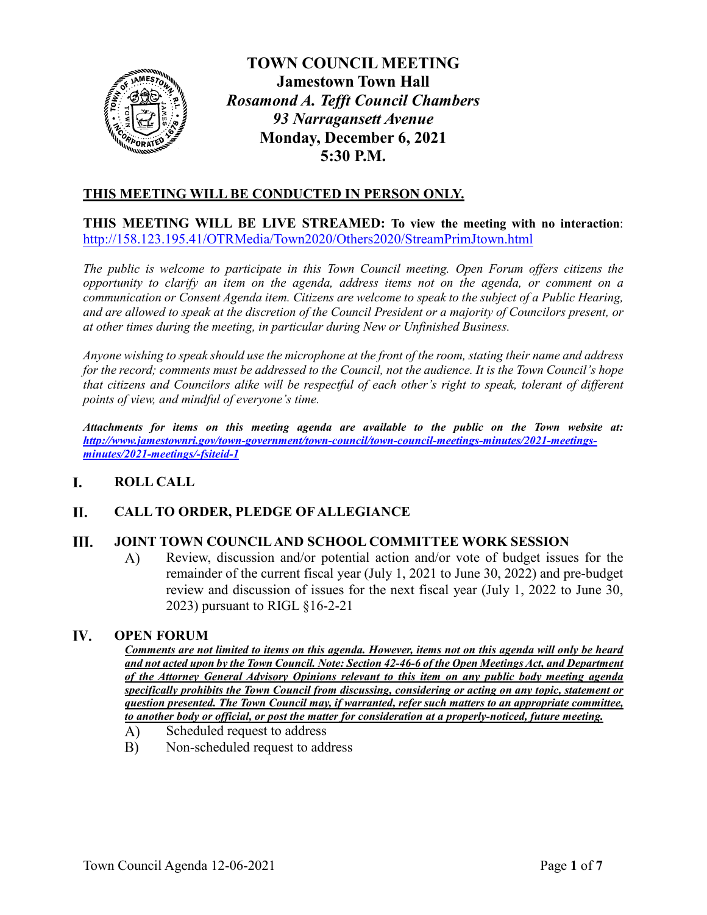

**TOWN COUNCIL MEETING Jamestown Town Hall** *Rosamond A. Tefft Council Chambers 93 Narragansett Avenue* **Monday, December 6, 2021 5:30 P.M.**

# **THIS MEETING WILL BE CONDUCTED IN PERSON ONLY.**

**THIS MEETING WILL BE LIVE STREAMED: To view the meeting with no interaction**: <http://158.123.195.41/OTRMedia/Town2020/Others2020/StreamPrimJtown.html>

*The public is welcome to participate in this Town Council meeting. Open Forum offers citizens the opportunity to clarify an item on the agenda, address items not on the agenda, or comment on a communication or Consent Agenda item. Citizens are welcome to speak to the subject of a Public Hearing, and are allowed to speak at the discretion of the Council President or a majority of Councilors present, or at other times during the meeting, in particular during New or Unfinished Business.* 

*Anyone wishing to speak should use the microphone at the front of the room, stating their name and address for the record; comments must be addressed to the Council, not the audience. It is the Town Council's hope that citizens and Councilors alike will be respectful of each other's right to speak, tolerant of different points of view, and mindful of everyone's time.*

*Attachments for items on this meeting agenda are available to the public on the Town website at: [http://www.jamestownri.gov/town-government/town-council/town-council-meetings-minutes/2021-meetings](http://www.jamestownri.gov/town-government/town-council/town-council-meetings-minutes/2021-meetings-minutes/2021-meetings/-fsiteid-1)[minutes/2021-meetings/-fsiteid-1](http://www.jamestownri.gov/town-government/town-council/town-council-meetings-minutes/2021-meetings-minutes/2021-meetings/-fsiteid-1)*

### I. **ROLL CALL**

### **II. CALL TO ORDER, PLEDGE OF ALLEGIANCE**

### III. **JOINT TOWN COUNCIL AND SCHOOL COMMITTEE WORK SESSION**

A) Review, discussion and/or potential action and/or vote of budget issues for the remainder of the current fiscal year (July 1, 2021 to June 30, 2022) and pre-budget review and discussion of issues for the next fiscal year (July 1, 2022 to June 30, 2023) pursuant to RIGL §16-2-21

### IV. **OPEN FORUM**

*Comments are not limited to items on this agenda. However, items not on this agenda will only be heard and not acted upon by the Town Council. Note: Section 42-46-6 of the Open Meetings Act, and Department of the Attorney General Advisory Opinions relevant to this item on any public body meeting agenda specifically prohibits the Town Council from discussing, considering or acting on any topic, statement or question presented. The Town Council may, if warranted, refer such matters to an appropriate committee, to another body or official, or post the matter for consideration at a properly-noticed, future meeting.*

- $\bf{A}$ Scheduled request to address
- Non-scheduled request to address  $B)$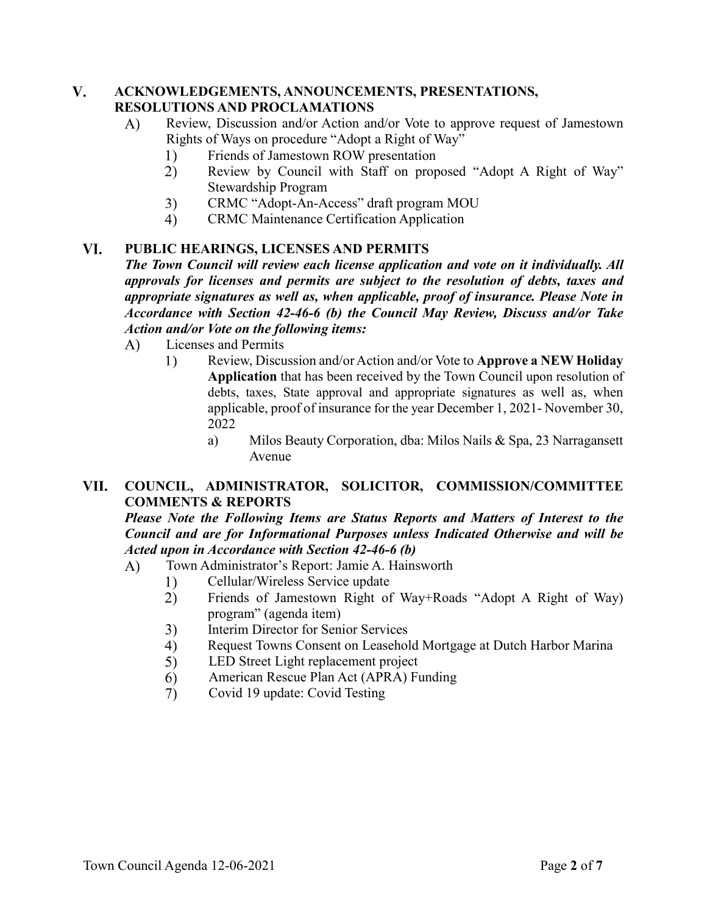### $V_{\bullet}$ **ACKNOWLEDGEMENTS, ANNOUNCEMENTS, PRESENTATIONS, RESOLUTIONS AND PROCLAMATIONS**

- Review, Discussion and/or Action and/or Vote to approve request of Jamestown  $\bf{A}$ Rights of Ways on procedure "Adopt a Right of Way"
	- Friends of Jamestown ROW presentation  $\left( \frac{1}{2} \right)$
	- $2)$ Review by Council with Staff on proposed "Adopt A Right of Way" Stewardship Program
	- $3)$ CRMC "Adopt-An-Access" draft program MOU
	- CRMC Maintenance Certification Application 4)

### VI. **PUBLIC HEARINGS, LICENSES AND PERMITS**

*The Town Council will review each license application and vote on it individually. All approvals for licenses and permits are subject to the resolution of debts, taxes and appropriate signatures as well as, when applicable, proof of insurance. Please Note in Accordance with Section 42-46-6 (b) the Council May Review, Discuss and/or Take Action and/or Vote on the following items:*

- Licenses and Permits  $\bf{A}$ 
	- $1)$ Review, Discussion and/or Action and/or Vote to **Approve a NEW Holiday Application** that has been received by the Town Council upon resolution of debts, taxes, State approval and appropriate signatures as well as, when applicable, proof of insurance for the year December 1, 2021- November 30, 2022
		- a) Milos Beauty Corporation, dba: Milos Nails & Spa, 23 Narragansett Avenue

### VII. **COUNCIL, ADMINISTRATOR, SOLICITOR, COMMISSION/COMMITTEE COMMENTS & REPORTS**

*Please Note the Following Items are Status Reports and Matters of Interest to the Council and are for Informational Purposes unless Indicated Otherwise and will be Acted upon in Accordance with Section 42-46-6 (b)* 

- Town Administrator's Report: Jamie A. Hainsworth  $\bf{A}$ )
	- Cellular/Wireless Service update 1)
	- $(2)$ Friends of Jamestown Right of Way+Roads "Adopt A Right of Way) program" (agenda item)
	- Interim Director for Senior Services  $3)$
	- Request Towns Consent on Leasehold Mortgage at Dutch Harbor Marina 4)
	- $5)$ LED Street Light replacement project
	- 6 American Rescue Plan Act (APRA) Funding
	- $(7)$ Covid 19 update: Covid Testing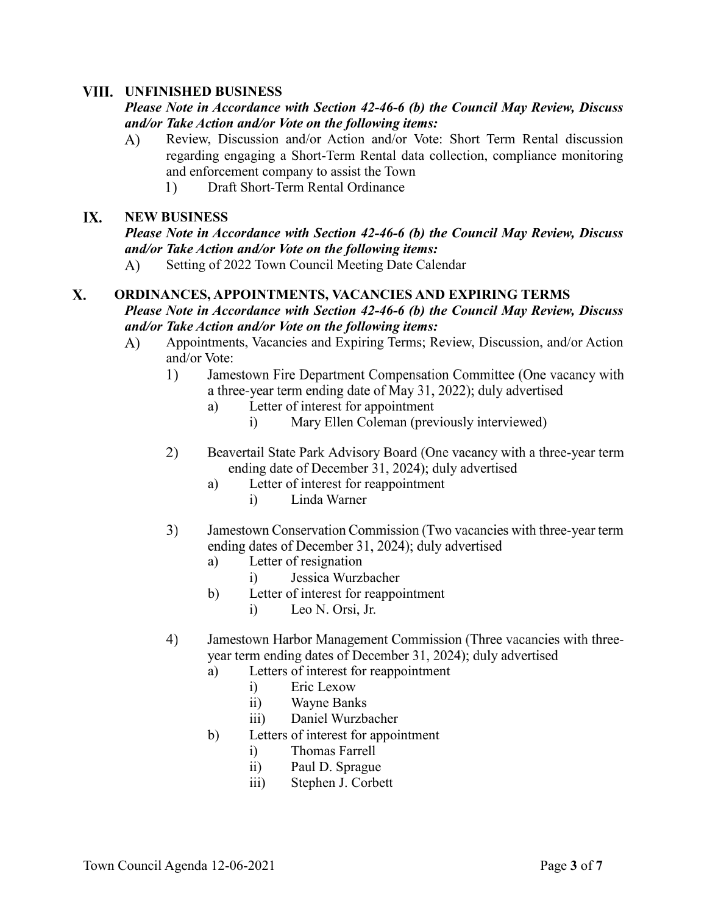## **UNFINISHED BUSINESS**

## *Please Note in Accordance with Section 42-46-6 (b) the Council May Review, Discuss and/or Take Action and/or Vote on the following items:*

- $\bf{A}$ ) Review, Discussion and/or Action and/or Vote: Short Term Rental discussion regarding engaging a Short-Term Rental data collection, compliance monitoring and enforcement company to assist the Town
	- Draft Short-Term Rental Ordinance  $1)$

#### IX. **NEW BUSINESS**

*Please Note in Accordance with Section 42-46-6 (b) the Council May Review, Discuss and/or Take Action and/or Vote on the following items:*

Setting of 2022 Town Council Meeting Date Calendar  $\bf{A}$ 

## $\mathbf{X}$ . **ORDINANCES, APPOINTMENTS, VACANCIES AND EXPIRING TERMS** *Please Note in Accordance with Section 42-46-6 (b) the Council May Review, Discuss and/or Take Action and/or Vote on the following items:*

- $\bf{A}$ Appointments, Vacancies and Expiring Terms; Review, Discussion, and/or Action and/or Vote:
	- $1)$ Jamestown Fire Department Compensation Committee (One vacancy with a three-year term ending date of May 31, 2022); duly advertised
		- a) Letter of interest for appointment
			- i) Mary Ellen Coleman (previously interviewed)
	- $(2)$ Beavertail State Park Advisory Board (One vacancy with a three-year term ending date of December 31, 2024); duly advertised
		- a) Letter of interest for reappointment
			- i) Linda Warner
	- $3)$ Jamestown Conservation Commission (Two vacancies with three-year term ending dates of December 31, 2024); duly advertised
		- a) Letter of resignation
			- i) Jessica Wurzbacher
		- b) Letter of interest for reappointment
			- i) Leo N. Orsi, Jr.
	- 4) Jamestown Harbor Management Commission (Three vacancies with threeyear term ending dates of December 31, 2024); duly advertised
		- a) Letters of interest for reappointment
			- i) Eric Lexow
			- ii) Wayne Banks
			- iii) Daniel Wurzbacher
		- b) Letters of interest for appointment
			- i) Thomas Farrell
			- ii) Paul D. Sprague
			- iii) Stephen J. Corbett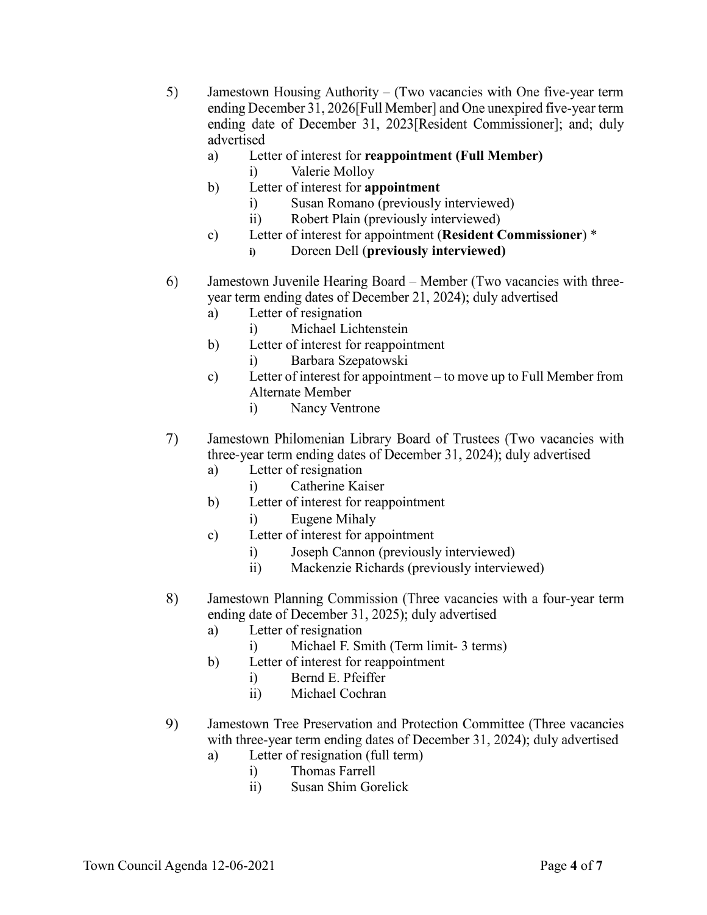- $5)$ Jamestown Housing Authority  $-$  (Two vacancies with One five-year term ending December 31, 2026 [Full Member] and One unexpired five-year term ending date of December 31, 2023[Resident Commissioner]; and; duly advertised
	- a) Letter of interest for **reappointment (Full Member)** i) Valerie Molloy
	- b) Letter of interest for **appointment**
		- i) Susan Romano (previously interviewed)
		- ii) Robert Plain (previously interviewed)
	- c) Letter of interest for appointment (**Resident Commissioner**) \*
		- **i)** Doreen Dell (**previously interviewed)**
- Jamestown Juvenile Hearing Board Member (Two vacancies with three-6) year term ending dates of December 21, 2024); duly advertised
	- a) Letter of resignation
		- i) Michael Lichtenstein
	- b) Letter of interest for reappointment i) Barbara Szepatowski
	- c) Letter of interest for appointment to move up to Full Member from Alternate Member
		- i) Nancy Ventrone
- 7) Jamestown Philomenian Library Board of Trustees (Two vacancies with three-year term ending dates of December 31, 2024); duly advertised
	- a) Letter of resignation
		- i) Catherine Kaiser
	- b) Letter of interest for reappointment
		- i) Eugene Mihaly
	- c) Letter of interest for appointment
		- i) Joseph Cannon (previously interviewed)
		- ii) Mackenzie Richards (previously interviewed)
- 8) Jamestown Planning Commission (Three vacancies with a four-year term ending date of December 31, 2025); duly advertised
	- a) Letter of resignation
		- i) Michael F. Smith (Term limit- 3 terms)
	- b) Letter of interest for reappointment
		- i) Bernd E. Pfeiffer
		- ii) Michael Cochran
- 9) Jamestown Tree Preservation and Protection Committee (Three vacancies with three-year term ending dates of December 31, 2024); duly advertised
	- a) Letter of resignation (full term)
		- i) Thomas Farrell
		- ii) Susan Shim Gorelick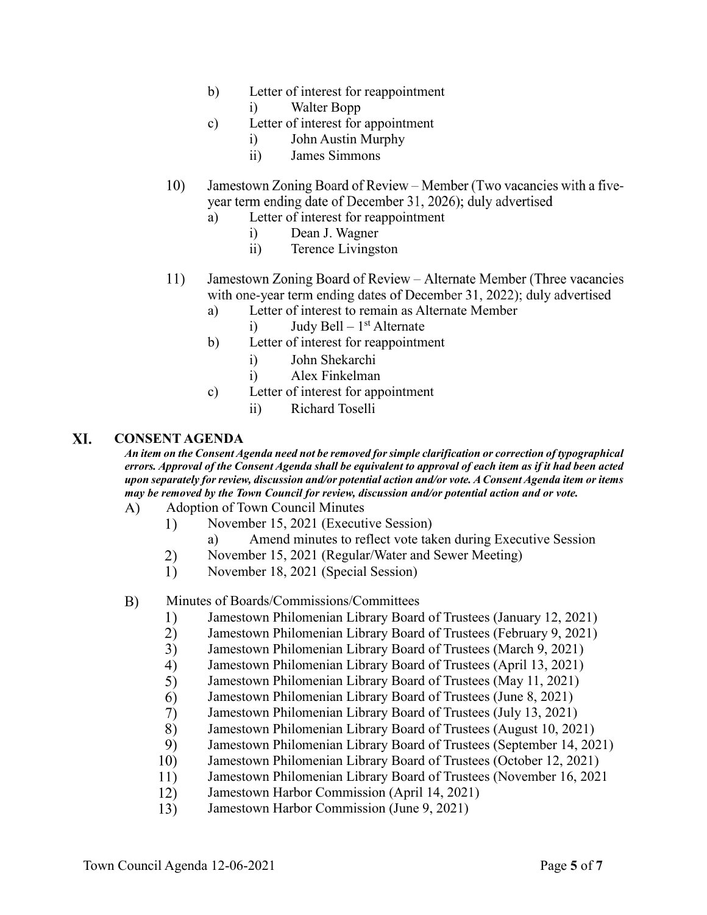- b) Letter of interest for reappointment
	- i) Walter Bopp
- c) Letter of interest for appointment
	- i) John Austin Murphy
	- ii) James Simmons
- Jamestown Zoning Board of Review Member (Two vacancies with a five-10) year term ending date of December 31, 2026); duly advertised
	- a) Letter of interest for reappointment
		- i) Dean J. Wagner
		- ii) Terence Livingston
- 11) Jamestown Zoning Board of Review – Alternate Member (Three vacancies with one-year term ending dates of December 31, 2022); duly advertised
	- a) Letter of interest to remain as Alternate Member
		- i) Judy Bell  $1<sup>st</sup>$  Alternate
	- b) Letter of interest for reappointment
		- i) John Shekarchi
		- i) Alex Finkelman
	- c) Letter of interest for appointment
		- ii) Richard Toselli

### XI. **CONSENT AGENDA**

*An item on the Consent Agenda need not be removed for simple clarification or correction of typographical errors. Approval of the Consent Agenda shall be equivalent to approval of each item as if it had been acted upon separately for review, discussion and/or potential action and/or vote. A Consent Agenda item or items may be removed by the Town Council for review, discussion and/or potential action and or vote.*

- $\bf{A}$ ) Adoption of Town Council Minutes
	- November 15, 2021 (Executive Session) 1)
		- a) Amend minutes to reflect vote taken during Executive Session
	- 2) November 15, 2021 (Regular/Water and Sewer Meeting)
	- 1) November 18, 2021 (Special Session)

#### B) Minutes of Boards/Commissions/Committees

- $1)$ Jamestown Philomenian Library Board of Trustees (January 12, 2021)
- $2)$ Jamestown Philomenian Library Board of Trustees (February 9, 2021)
- $3)$ Jamestown Philomenian Library Board of Trustees (March 9, 2021)
- $4)$ Jamestown Philomenian Library Board of Trustees (April 13, 2021)
- $5)$ Jamestown Philomenian Library Board of Trustees (May 11, 2021)
- 6) Jamestown Philomenian Library Board of Trustees (June 8, 2021)
- $7)$ Jamestown Philomenian Library Board of Trustees (July 13, 2021)
- 8) Jamestown Philomenian Library Board of Trustees (August 10, 2021)
- 9) Jamestown Philomenian Library Board of Trustees (September 14, 2021)
- 10) Jamestown Philomenian Library Board of Trustees (October 12, 2021)
- 11) Jamestown Philomenian Library Board of Trustees (November 16, 2021
- 12) Jamestown Harbor Commission (April 14, 2021)
- $13)$ Jamestown Harbor Commission (June 9, 2021)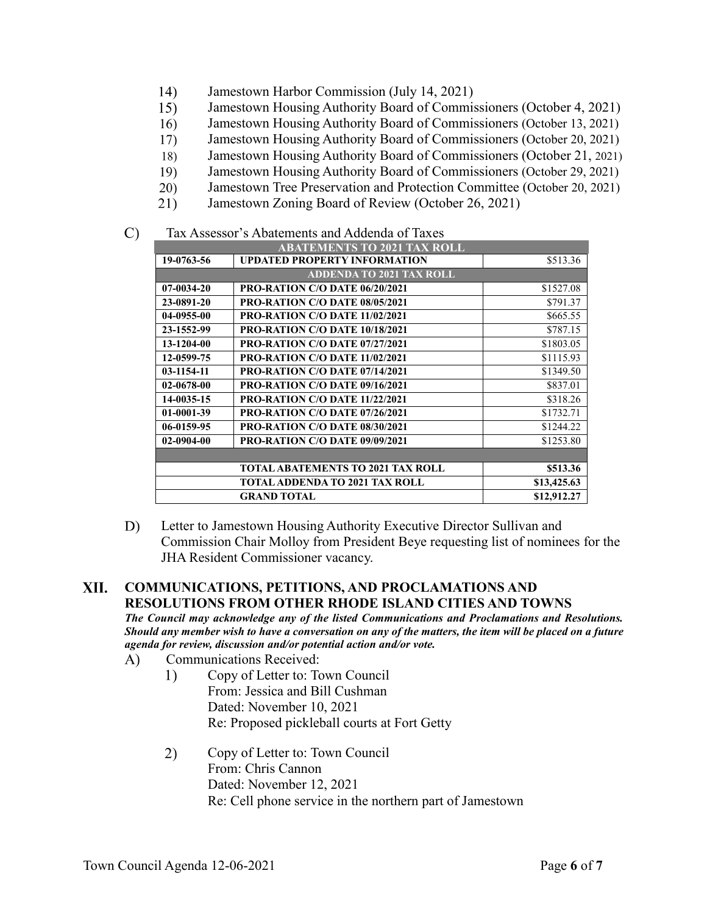- 14) Jamestown Harbor Commission (July 14, 2021)
- 15) Jamestown Housing Authority Board of Commissioners (October 4, 2021)
- Jamestown Housing Authority Board of Commissioners (October 13, 2021) 16)
- $17)$ Jamestown Housing Authority Board of Commissioners (October 20, 2021)
- Jamestown Housing Authority Board of Commissioners (October 21, 2021) 18)
- Jamestown Housing Authority Board of Commissioners (October 29, 2021) 19)
- 20) Jamestown Tree Preservation and Protection Committee (October 20, 2021)
- 21) Jamestown Zoning Board of Review (October 26, 2021)
- $\mathcal{C}$ Tax Assessor's Abatements and Addenda of Taxes

| <b>ABATEMENTS TO 2021 TAX ROLL</b> |                                          |             |
|------------------------------------|------------------------------------------|-------------|
| 19-0763-56                         | <b>UPDATED PROPERTY INFORMATION</b>      | \$513.36    |
| <b>ADDENDA TO 2021 TAX ROLL</b>    |                                          |             |
| 07-0034-20                         | <b>PRO-RATION C/O DATE 06/20/2021</b>    | \$1527.08   |
| 23-0891-20                         | <b>PRO-RATION C/O DATE 08/05/2021</b>    | \$791.37    |
| 04-0955-00                         | PRO-RATION C/O DATE 11/02/2021           | \$665.55    |
| 23-1552-99                         | <b>PRO-RATION C/O DATE 10/18/2021</b>    | \$787.15    |
| 13-1204-00                         | <b>PRO-RATION C/O DATE 07/27/2021</b>    | \$1803.05   |
| 12-0599-75                         | <b>PRO-RATION C/O DATE 11/02/2021</b>    | \$1115.93   |
| 03-1154-11                         | <b>PRO-RATION C/O DATE 07/14/2021</b>    | \$1349.50   |
| 02-0678-00                         | PRO-RATION C/O DATE 09/16/2021           | \$837.01    |
| 14-0035-15                         | PRO-RATION C/O DATE 11/22/2021           | \$318.26    |
| 01-0001-39                         | PRO-RATION C/O DATE 07/26/2021           | \$1732.71   |
| 06-0159-95                         | <b>PRO-RATION C/O DATE 08/30/2021</b>    | \$1244.22   |
| 02-0904-00                         | PRO-RATION C/O DATE 09/09/2021           | \$1253.80   |
|                                    |                                          |             |
|                                    | <b>TOTAL ABATEMENTS TO 2021 TAX ROLL</b> | \$513.36    |
|                                    | TOTAL ADDENDA TO 2021 TAX ROLL           | \$13,425.63 |
|                                    | <b>GRAND TOTAL</b>                       | \$12,912.27 |

D) Letter to Jamestown Housing Authority Executive Director Sullivan and Commission Chair Molloy from President Beye requesting list of nominees for the JHA Resident Commissioner vacancy.

### XII. **COMMUNICATIONS, PETITIONS, AND PROCLAMATIONS AND RESOLUTIONS FROM OTHER RHODE ISLAND CITIES AND TOWNS**

*The Council may acknowledge any of the listed Communications and Proclamations and Resolutions. Should any member wish to have a conversation on any of the matters, the item will be placed on a future agenda for review, discussion and/or potential action and/or vote.* 

- $\bf{A}$ Communications Received:
	- 1) Copy of Letter to: Town Council From: Jessica and Bill Cushman Dated: November 10, 2021 Re: Proposed pickleball courts at Fort Getty
	- Copy of Letter to: Town Council  $2)$ From: Chris Cannon Dated: November 12, 2021 Re: Cell phone service in the northern part of Jamestown